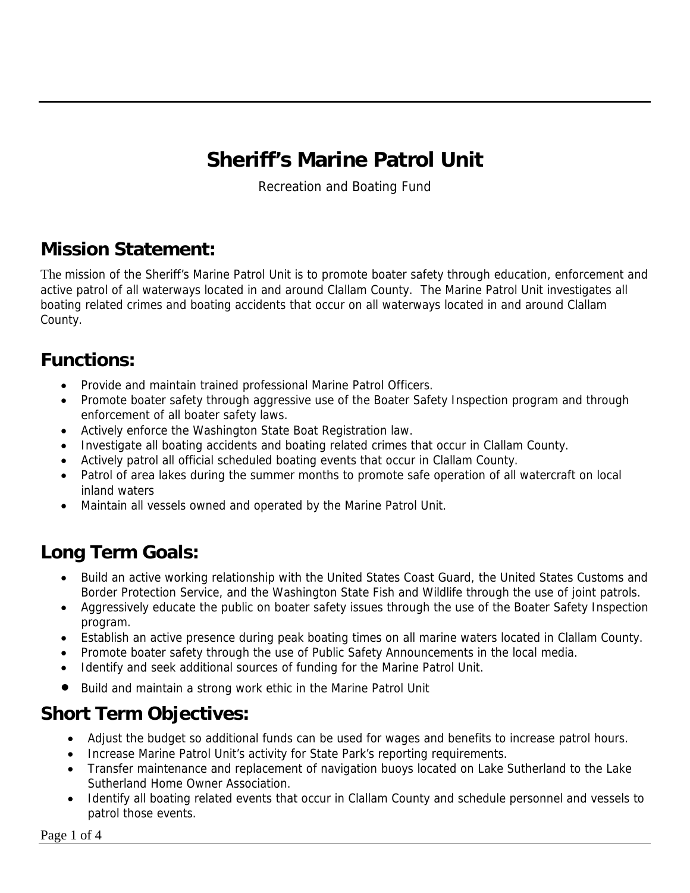# **Sheriff's Marine Patrol Unit**

Recreation and Boating Fund

#### **Mission Statement:**

The mission of the Sheriff's Marine Patrol Unit is to promote boater safety through education, enforcement and active patrol of all waterways located in and around Clallam County. The Marine Patrol Unit investigates all boating related crimes and boating accidents that occur on all waterways located in and around Clallam County.

#### **Functions:**

- Provide and maintain trained professional Marine Patrol Officers.
- Promote boater safety through aggressive use of the Boater Safety Inspection program and through enforcement of all boater safety laws.
- Actively enforce the Washington State Boat Registration law.
- Investigate all boating accidents and boating related crimes that occur in Clallam County.
- Actively patrol all official scheduled boating events that occur in Clallam County.
- Patrol of area lakes during the summer months to promote safe operation of all watercraft on local inland waters
- Maintain all vessels owned and operated by the Marine Patrol Unit.

### **Long Term Goals:**

- Build an active working relationship with the United States Coast Guard, the United States Customs and Border Protection Service, and the Washington State Fish and Wildlife through the use of joint patrols.
- Aggressively educate the public on boater safety issues through the use of the Boater Safety Inspection program.
- Establish an active presence during peak boating times on all marine waters located in Clallam County.
- Promote boater safety through the use of Public Safety Announcements in the local media.
- Identify and seek additional sources of funding for the Marine Patrol Unit.
- Build and maintain a strong work ethic in the Marine Patrol Unit

#### **Short Term Objectives:**

- Adjust the budget so additional funds can be used for wages and benefits to increase patrol hours.
- Increase Marine Patrol Unit's activity for State Park's reporting requirements.
- Transfer maintenance and replacement of navigation buoys located on Lake Sutherland to the Lake Sutherland Home Owner Association.
- Identify all boating related events that occur in Clallam County and schedule personnel and vessels to patrol those events.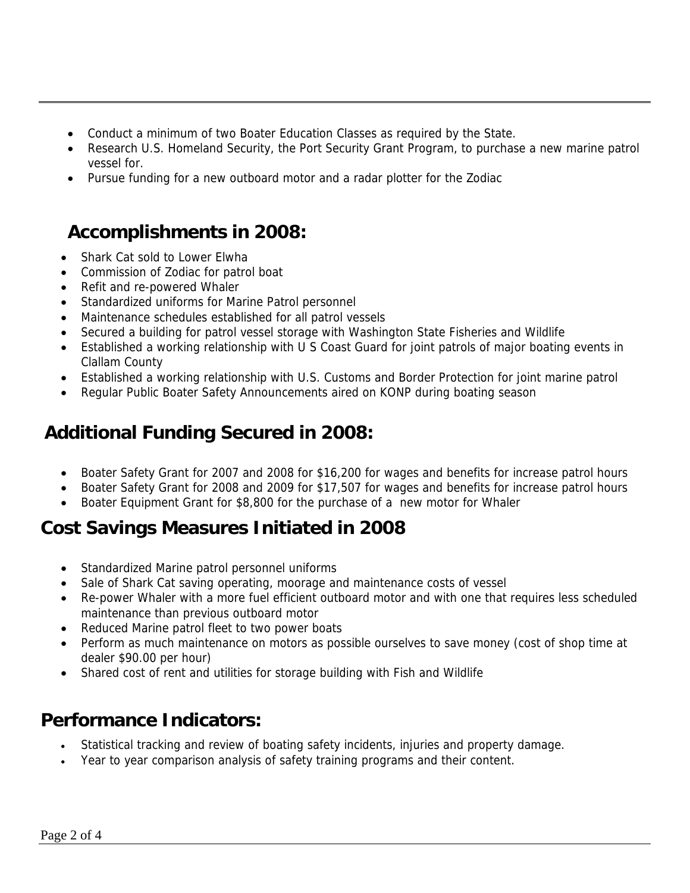- Conduct a minimum of two Boater Education Classes as required by the State.
- Research U.S. Homeland Security, the Port Security Grant Program, to purchase a new marine patrol vessel for.
- Pursue funding for a new outboard motor and a radar plotter for the Zodiac

#### **Accomplishments in 2008:**

- Shark Cat sold to Lower Elwha
- Commission of Zodiac for patrol boat
- Refit and re-powered Whaler
- Standardized uniforms for Marine Patrol personnel
- Maintenance schedules established for all patrol vessels
- Secured a building for patrol vessel storage with Washington State Fisheries and Wildlife
- Established a working relationship with U S Coast Guard for joint patrols of major boating events in Clallam County
- Established a working relationship with U.S. Customs and Border Protection for joint marine patrol
- Regular Public Boater Safety Announcements aired on KONP during boating season

### **Additional Funding Secured in 2008:**

- Boater Safety Grant for 2007 and 2008 for \$16,200 for wages and benefits for increase patrol hours
- Boater Safety Grant for 2008 and 2009 for \$17,507 for wages and benefits for increase patrol hours
- Boater Equipment Grant for \$8,800 for the purchase of a new motor for Whaler

### **Cost Savings Measures Initiated in 2008**

- Standardized Marine patrol personnel uniforms
- Sale of Shark Cat saving operating, moorage and maintenance costs of vessel
- Re-power Whaler with a more fuel efficient outboard motor and with one that requires less scheduled maintenance than previous outboard motor
- Reduced Marine patrol fleet to two power boats
- Perform as much maintenance on motors as possible ourselves to save money (cost of shop time at dealer \$90.00 per hour)
- Shared cost of rent and utilities for storage building with Fish and Wildlife

#### **Performance Indicators:**

- Statistical tracking and review of boating safety incidents, injuries and property damage.
- Year to year comparison analysis of safety training programs and their content.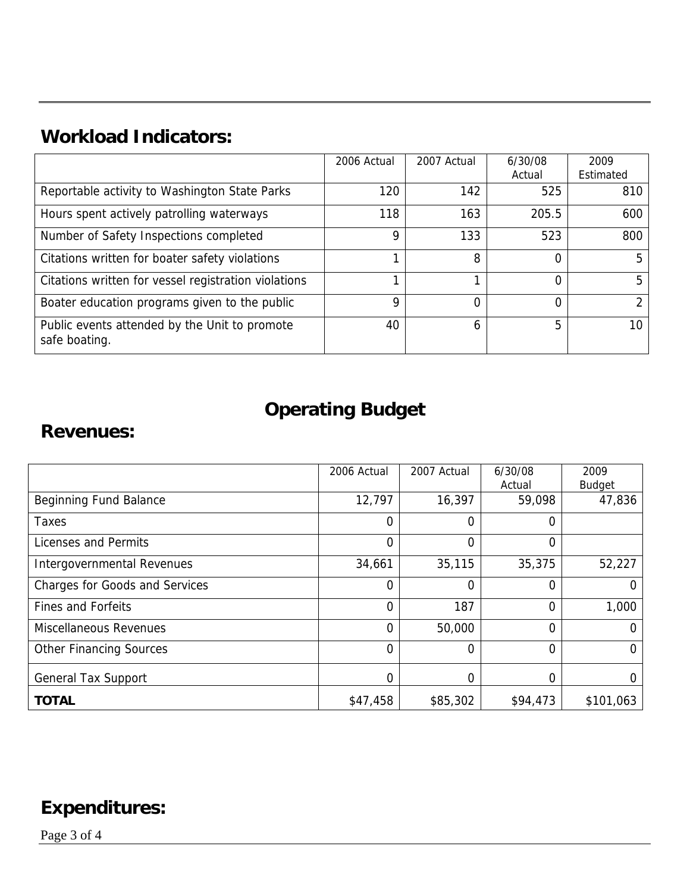### **Workload Indicators:**

|                                                                | 2006 Actual | 2007 Actual | 6/30/08 | 2009      |
|----------------------------------------------------------------|-------------|-------------|---------|-----------|
|                                                                |             |             | Actual  | Estimated |
| Reportable activity to Washington State Parks                  | 120         | 142         | 525     | 810       |
| Hours spent actively patrolling waterways                      | 118         | 163         | 205.5   | 600       |
| Number of Safety Inspections completed                         | 9           | 133         | 523     | 800       |
| Citations written for boater safety violations                 |             | 8           |         | 5         |
| Citations written for vessel registration violations           | ◢           |             |         | 5         |
| Boater education programs given to the public                  | 9           | 0           |         | ↑         |
| Public events attended by the Unit to promote<br>safe boating. | 40          | 6           | 5       | 10        |

## **Operating Budget**

#### **Revenues:**

|                                       | 2006 Actual    | 2007 Actual | 6/30/08  | 2009          |
|---------------------------------------|----------------|-------------|----------|---------------|
|                                       |                |             | Actual   | <b>Budget</b> |
| <b>Beginning Fund Balance</b>         | 12,797         | 16,397      | 59,098   | 47,836        |
| Taxes                                 | $\overline{0}$ | $\Omega$    | 0        |               |
| Licenses and Permits                  | $\mathbf 0$    | 0           | 0        |               |
| Intergovernmental Revenues            | 34,661         | 35,115      | 35,375   | 52,227        |
| <b>Charges for Goods and Services</b> | $\Omega$       | 0           | 0        | 0             |
| <b>Fines and Forfeits</b>             | $\overline{0}$ | 187         | 0        | 1,000         |
| <b>Miscellaneous Revenues</b>         | $\overline{0}$ | 50,000      | 0        | 0             |
| <b>Other Financing Sources</b>        | $\overline{0}$ | 0           | 0        | 0             |
| <b>General Tax Support</b>            | $\mathbf 0$    | 0           | 0        | 0             |
| <b>TOTAL</b>                          | \$47,458       | \$85,302    | \$94,473 | \$101,063     |

### **Expenditures:**

Page 3 of 4